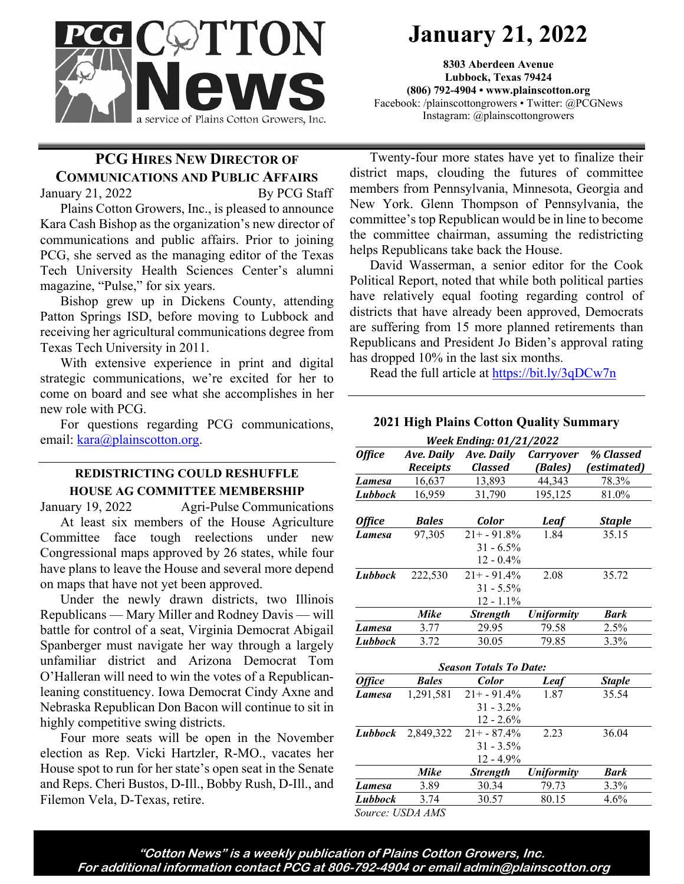

# **January 21, 2022**

**8303 Aberdeen Avenue Lubbock, Texas 79424 (806) 792-4904 • www.plainscotton.org** Facebook: /plainscottongrowers • Twitter: @PCGNews Instagram: @plainscottongrowers

### **PCG HIRES NEW DIRECTOR OF COMMUNICATIONS AND PUBLIC AFFAIRS**

January 21, 2022 By PCG Staff

Plains Cotton Growers, Inc., is pleased to announce Kara Cash Bishop as the organization's new director of communications and public affairs. Prior to joining PCG, she served as the managing editor of the Texas Tech University Health Sciences Center's alumni magazine, "Pulse," for six years.

Bishop grew up in Dickens County, attending Patton Springs ISD, before moving to Lubbock and receiving her agricultural communications degree from Texas Tech University in 2011.

With extensive experience in print and digital strategic communications, we're excited for her to come on board and see what she accomplishes in her new role with PCG.

For questions regarding PCG communications, email: [kara@plainscotton.org.](mailto:kara@plainscotton.org)

#### **REDISTRICTING COULD RESHUFFLE HOUSE AG COMMITTEE MEMBERSHIP**

January 19, 2022 Agri-Pulse Communications At least six members of the House Agriculture Committee face tough reelections under new Congressional maps approved by 26 states, while four have plans to leave the House and several more depend on maps that have not yet been approved.

Under the newly drawn districts, two Illinois Republicans — Mary Miller and Rodney Davis — will battle for control of a seat, Virginia Democrat Abigail Spanberger must navigate her way through a largely unfamiliar district and Arizona Democrat Tom O'Halleran will need to win the votes of a Republicanleaning constituency. Iowa Democrat Cindy Axne and Nebraska Republican Don Bacon will continue to sit in highly competitive swing districts.

Four more seats will be open in the November election as Rep. Vicki Hartzler, R-MO., vacates her House spot to run for her state's open seat in the Senate and Reps. Cheri Bustos, D-Ill., Bobby Rush, D-Ill., and Filemon Vela, D-Texas, retire.

Twenty-four more states have yet to finalize their district maps, clouding the futures of committee members from Pennsylvania, Minnesota, Georgia and New York. Glenn Thompson of Pennsylvania, the committee's top Republican would be in line to become the committee chairman, assuming the redistricting helps Republicans take back the House.

David Wasserman, a senior editor for the Cook Political Report, noted that while both political parties have relatively equal footing regarding control of districts that have already been approved, Democrats are suffering from 15 more planned retirements than Republicans and President Jo Biden's approval rating has dropped 10% in the last six months.

Read the full article at https://bit.ly/3qDCw7n

## **2021 High Plains Cotton Quality Summary**

| <b>Week Ending: 01/21/2022</b> |                   |                               |                   |               |
|--------------------------------|-------------------|-------------------------------|-------------------|---------------|
| <b>Office</b>                  | <b>Ave. Daily</b> | Ave. Daily                    | <b>Carryover</b>  | % Classed     |
|                                | <b>Receipts</b>   | <b>Classed</b>                | (Bales)           | (estimated)   |
| Lamesa                         | 16,637            | 13,893                        | 44,343            | 78.3%         |
| Lubbock                        | 16,959            | 31,790                        | 195,125           | 81.0%         |
| <b>Office</b>                  | <b>Bales</b>      | Color                         | Leaf              | <b>Staple</b> |
| Lamesa                         | 97,305            | $21+ -91.8%$                  | 1.84              | 35.15         |
|                                |                   | $31 - 6.5\%$                  |                   |               |
|                                |                   | $12 - 0.4\%$                  |                   |               |
| Lubbock                        | 222,530           | $21+ - 91.4%$                 | 2.08              | 35.72         |
|                                |                   | $31 - 5.5\%$                  |                   |               |
|                                |                   | $12 - 1.1\%$                  |                   |               |
|                                | Mike              | <b>Strength</b>               | <b>Uniformity</b> | <b>Bark</b>   |
| Lamesa                         | 3.77              | 29.95                         | 79.58             | 2.5%          |
| Lubbock                        | 3.72              | 30.05                         | 79.85             | 3.3%          |
|                                |                   | <b>Season Totals To Date:</b> |                   |               |
| <b>Office</b>                  | <b>Bales</b>      | <b>Color</b>                  | Leaf              | <b>Staple</b> |
| Lamesa                         | 1,291,581         | $21 + -91.4%$                 | 1.87              | 35.54         |
|                                |                   | $31 - 3.2\%$                  |                   |               |
|                                |                   | $12 - 2.6\%$                  |                   |               |
| Lubbock                        | 2,849,322         | $21+ - 87.4%$                 | 2.23              | 36.04         |
|                                |                   | $31 - 3.5\%$                  |                   |               |
|                                |                   | 12 - 4.9%                     |                   |               |
|                                | Mike              | <b>Strength</b>               | <b>Uniformity</b> | <b>Bark</b>   |
| Lamesa                         | 3.89              | 30.34                         | 79.73             | 3.3%          |

*Lubbock* 3.74 30.57 80.15 4.6%

*Source: USDA AMS*

**"Cotton News" is a weekly publication of Plains Cotton Growers, Inc. For additional information contact PCG at 806-792-4904 or email admin@plainscotton.org**